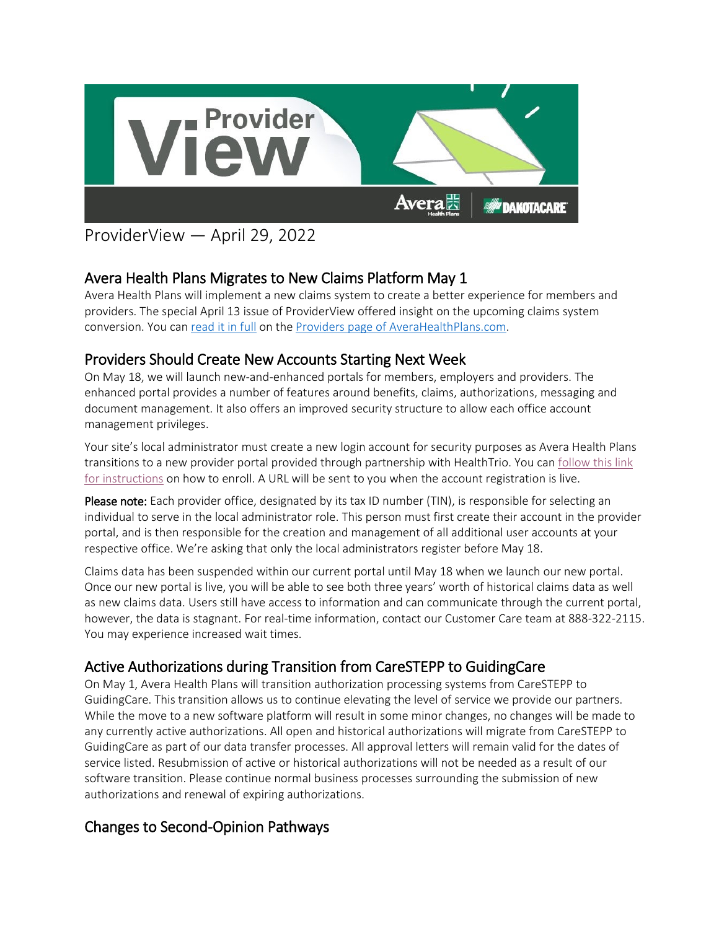

# ProviderView — April 29, 2022

## Avera Health Plans Migrates to New Claims Platform May 1

Avera Health Plans will implement a new claims system to create a better experience for members and providers. The special April 13 issue of ProviderView offered insight on the upcoming claims system conversion. You ca[n read it in full](https://www.avera.org/app/files/public/82560/2022-April---ProviderView---Project-Genesis-Special-Edition.pdf) on the [Providers page of AveraHealthPlans.com.](https://www.averahealthplans.com/insurance/providers/)

## Providers Should Create New Accounts Starting Next Week

On May 18, we will launch new-and-enhanced portals for members, employers and providers. The enhanced portal provides a number of features around benefits, claims, authorizations, messaging and document management. It also offers an improved security structure to allow each office account management privileges.

Your site's local administrator must create a new login account for security purposes as Avera Health Plans transitions to a new provider portal provided through partnership with HealthTrio. You can follow this link [for instructions](https://www.avera.org/app/files/public/82561/AHP-Providers-Account-Creation-Instructions.pdf) on how to enroll. A URL will be sent to you when the account registration is live.

Please note: Each provider office, designated by its tax ID number (TIN), is responsible for selecting an individual to serve in the local administrator role. This person must first create their account in the provider portal, and is then responsible for the creation and management of all additional user accounts at your respective office. We're asking that only the local administrators register before May 18.

Claims data has been suspended within our current portal until May 18 when we launch our new portal. Once our new portal is live, you will be able to see both three years' worth of historical claims data as well as new claims data. Users still have access to information and can communicate through the current portal, however, the data is stagnant. For real-time information, contact our Customer Care team at 888-322-2115. You may experience increased wait times.

## Active Authorizations during Transition from CareSTEPP to GuidingCare

On May 1, Avera Health Plans will transition authorization processing systems from CareSTEPP to GuidingCare. This transition allows us to continue elevating the level of service we provide our partners. While the move to a new software platform will result in some minor changes, no changes will be made to any currently active authorizations. All open and historical authorizations will migrate from CareSTEPP to GuidingCare as part of our data transfer processes. All approval letters will remain valid for the dates of service listed. Resubmission of active or historical authorizations will not be needed as a result of our software transition. Please continue normal business processes surrounding the submission of new authorizations and renewal of expiring authorizations.

## Changes to Second-Opinion Pathways